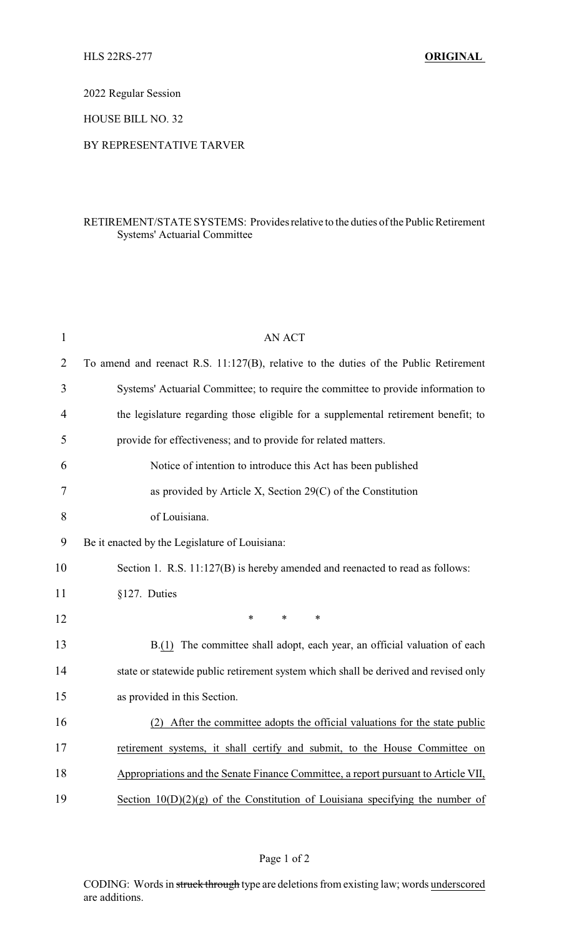2022 Regular Session

HOUSE BILL NO. 32

## BY REPRESENTATIVE TARVER

## RETIREMENT/STATE SYSTEMS: Providesrelative to the duties of the Public Retirement Systems' Actuarial Committee

| <b>AN ACT</b>                                                                        |
|--------------------------------------------------------------------------------------|
| To amend and reenact R.S. 11:127(B), relative to the duties of the Public Retirement |
| Systems' Actuarial Committee; to require the committee to provide information to     |
| the legislature regarding those eligible for a supplemental retirement benefit; to   |
| provide for effectiveness; and to provide for related matters.                       |
| Notice of intention to introduce this Act has been published                         |
| as provided by Article X, Section 29(C) of the Constitution                          |
| of Louisiana.                                                                        |
| Be it enacted by the Legislature of Louisiana:                                       |
| Section 1. R.S. 11:127(B) is hereby amended and reenacted to read as follows:        |
| §127. Duties                                                                         |
| ∗<br>∗<br>∗                                                                          |
| B.(1) The committee shall adopt, each year, an official valuation of each            |
| state or statewide public retirement system which shall be derived and revised only  |
| as provided in this Section.                                                         |
| After the committee adopts the official valuations for the state public              |
| retirement systems, it shall certify and submit, to the House Committee on           |
| Appropriations and the Senate Finance Committee, a report pursuant to Article VII,   |
| Section $10(D)(2)(g)$ of the Constitution of Louisiana specifying the number of      |
|                                                                                      |